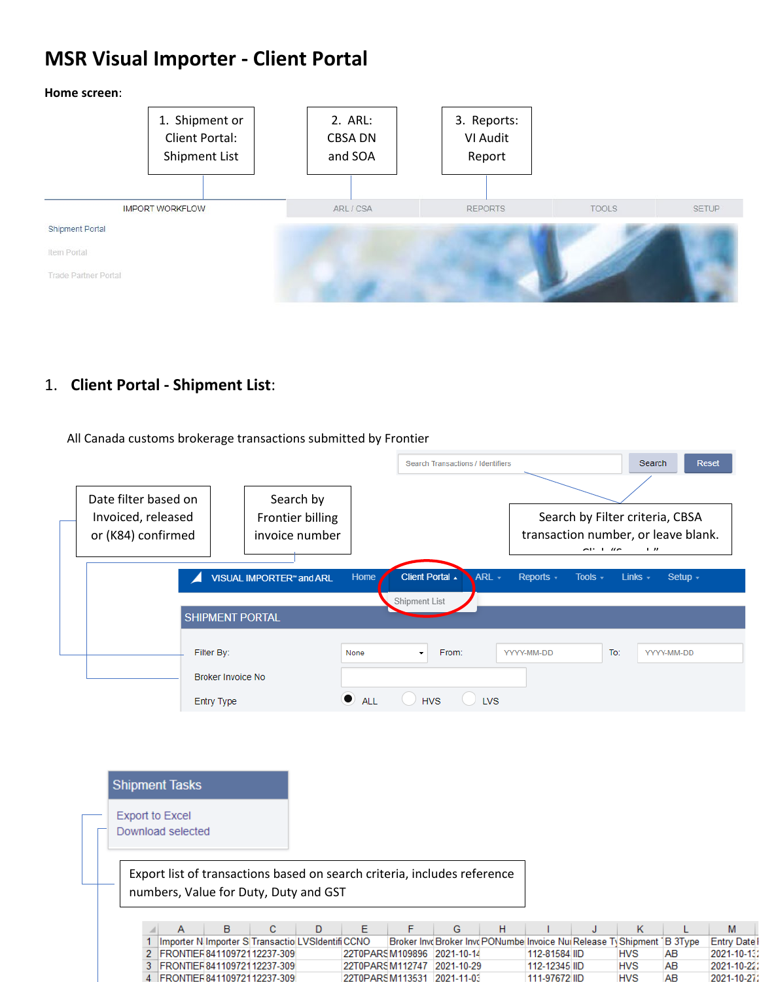# **MSR Visual Importer - Client Portal**





### 1. **Client Portal - Shipment List**:

All Canada customs brokerage transactions submitted by Frontier

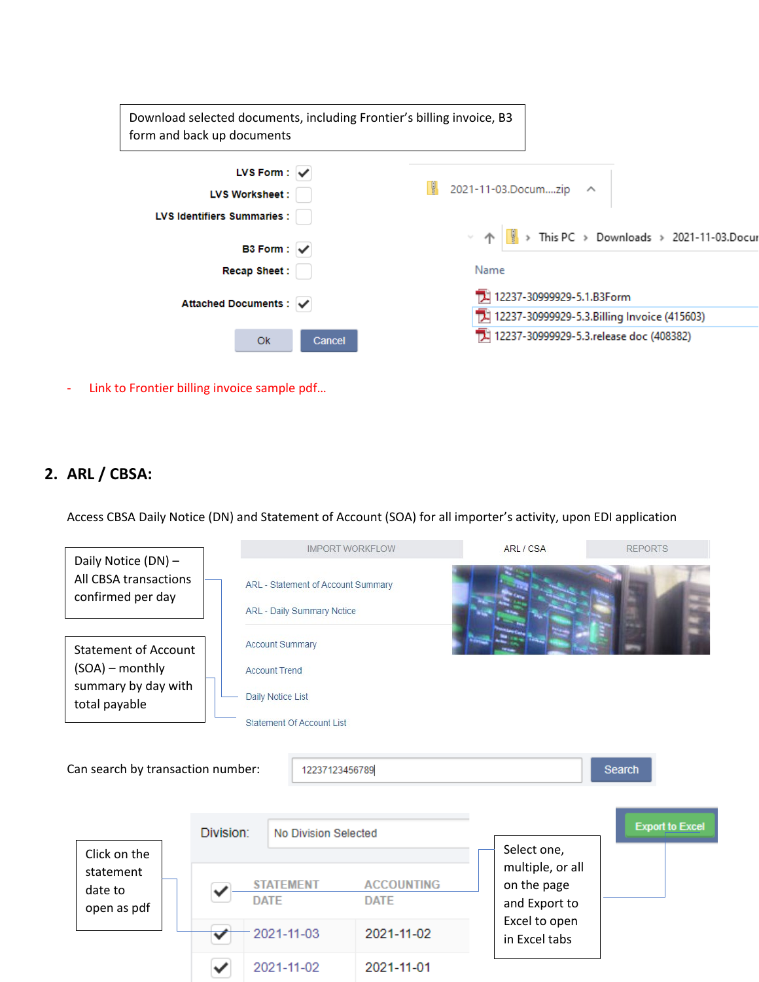| Download selected documents, including Frontier's billing invoice, B3<br>form and back up documents |                                                                                        |  |  |  |  |  |  |
|-----------------------------------------------------------------------------------------------------|----------------------------------------------------------------------------------------|--|--|--|--|--|--|
| LVS Form: $\sqrt{}$<br><b>LVS Worksheet :</b>                                                       | 2021-11-03.Documzip ^                                                                  |  |  |  |  |  |  |
| <b>LVS Identifiers Summaries:</b><br><b>B3 Form:</b>                                                | $\vee$ $\uparrow$ $\parallel$ $\parallel$ > This PC > Downloads > 2021-11-03.Docu      |  |  |  |  |  |  |
| <b>Recap Sheet:</b>                                                                                 | Name                                                                                   |  |  |  |  |  |  |
| Attached Documents : V                                                                              | 12237-30999929-5.1.B3Form                                                              |  |  |  |  |  |  |
| Ok<br>Cancel                                                                                        | 12237-30999929-5.3.Billing Invoice (415603)<br>12237-30999929-5.3.release doc (408382) |  |  |  |  |  |  |

- Link to Frontier billing invoice sample pdf…

### **2. ARL / CBSA:**

Access CBSA Daily Notice (DN) and Statement of Account (SOA) for all importer's activity, upon EDI application